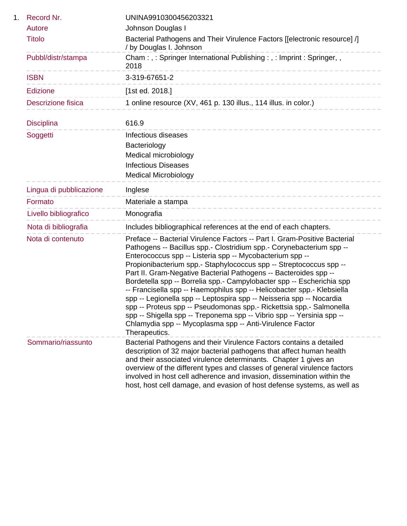| 1. | Record Nr.              | UNINA9910300456203321                                                                                                                                                                                                                                                                                                                                                                                                                                                                                                                                                                                                                                                                                                                                                                                           |
|----|-------------------------|-----------------------------------------------------------------------------------------------------------------------------------------------------------------------------------------------------------------------------------------------------------------------------------------------------------------------------------------------------------------------------------------------------------------------------------------------------------------------------------------------------------------------------------------------------------------------------------------------------------------------------------------------------------------------------------------------------------------------------------------------------------------------------------------------------------------|
|    | Autore                  | Johnson Douglas I                                                                                                                                                                                                                                                                                                                                                                                                                                                                                                                                                                                                                                                                                                                                                                                               |
|    | <b>Titolo</b>           | Bacterial Pathogens and Their Virulence Factors [[electronic resource] /]<br>/ by Douglas I. Johnson                                                                                                                                                                                                                                                                                                                                                                                                                                                                                                                                                                                                                                                                                                            |
|    | Pubbl/distr/stampa      | Cham:,: Springer International Publishing:,: Imprint: Springer,,<br>2018                                                                                                                                                                                                                                                                                                                                                                                                                                                                                                                                                                                                                                                                                                                                        |
|    | <b>ISBN</b>             | 3-319-67651-2<br>_______________________                                                                                                                                                                                                                                                                                                                                                                                                                                                                                                                                                                                                                                                                                                                                                                        |
|    | Edizione                | [1st ed. 2018.]                                                                                                                                                                                                                                                                                                                                                                                                                                                                                                                                                                                                                                                                                                                                                                                                 |
|    | Descrizione fisica      | 1 online resource (XV, 461 p. 130 illus., 114 illus. in color.)                                                                                                                                                                                                                                                                                                                                                                                                                                                                                                                                                                                                                                                                                                                                                 |
|    | <b>Disciplina</b>       | 616.9                                                                                                                                                                                                                                                                                                                                                                                                                                                                                                                                                                                                                                                                                                                                                                                                           |
|    | Soggetti                | Infectious diseases                                                                                                                                                                                                                                                                                                                                                                                                                                                                                                                                                                                                                                                                                                                                                                                             |
|    |                         | Bacteriology                                                                                                                                                                                                                                                                                                                                                                                                                                                                                                                                                                                                                                                                                                                                                                                                    |
|    |                         | Medical microbiology                                                                                                                                                                                                                                                                                                                                                                                                                                                                                                                                                                                                                                                                                                                                                                                            |
|    |                         | <b>Infectious Diseases</b>                                                                                                                                                                                                                                                                                                                                                                                                                                                                                                                                                                                                                                                                                                                                                                                      |
|    |                         | <b>Medical Microbiology</b>                                                                                                                                                                                                                                                                                                                                                                                                                                                                                                                                                                                                                                                                                                                                                                                     |
|    | Lingua di pubblicazione | Inglese                                                                                                                                                                                                                                                                                                                                                                                                                                                                                                                                                                                                                                                                                                                                                                                                         |
|    | Formato                 | Materiale a stampa<br>------------------                                                                                                                                                                                                                                                                                                                                                                                                                                                                                                                                                                                                                                                                                                                                                                        |
|    | Livello bibliografico   | Monografia                                                                                                                                                                                                                                                                                                                                                                                                                                                                                                                                                                                                                                                                                                                                                                                                      |
|    | Nota di bibliografia    | Includes bibliographical references at the end of each chapters.                                                                                                                                                                                                                                                                                                                                                                                                                                                                                                                                                                                                                                                                                                                                                |
|    | Nota di contenuto       | Preface -- Bacterial Virulence Factors -- Part I. Gram-Positive Bacterial<br>Pathogens -- Bacillus spp.- Clostridium spp.- Corynebacterium spp --<br>Enterococcus spp -- Listeria spp -- Mycobacterium spp --<br>Propionibacterium spp.- Staphylococcus spp -- Streptococcus spp --<br>Part II. Gram-Negative Bacterial Pathogens -- Bacteroides spp --<br>Bordetella spp -- Borrelia spp.- Campylobacter spp -- Escherichia spp<br>-- Francisella spp -- Haemophilus spp -- Helicobacter spp.- Klebsiella<br>spp -- Legionella spp -- Leptospira spp -- Neisseria spp -- Nocardia<br>spp -- Proteus spp -- Pseudomonas spp.- Rickettsia spp.- Salmonella<br>spp -- Shigella spp -- Treponema spp -- Vibrio spp -- Yersinia spp --<br>Chlamydia spp -- Mycoplasma spp -- Anti-Virulence Factor<br>Therapeutics. |
|    | Sommario/riassunto      | Bacterial Pathogens and their Virulence Factors contains a detailed<br>description of 32 major bacterial pathogens that affect human health<br>and their associated virulence determinants. Chapter 1 gives an<br>overview of the different types and classes of general virulence factors<br>involved in host cell adherence and invasion, dissemination within the<br>host, host cell damage, and evasion of host defense systems, as well as                                                                                                                                                                                                                                                                                                                                                                 |